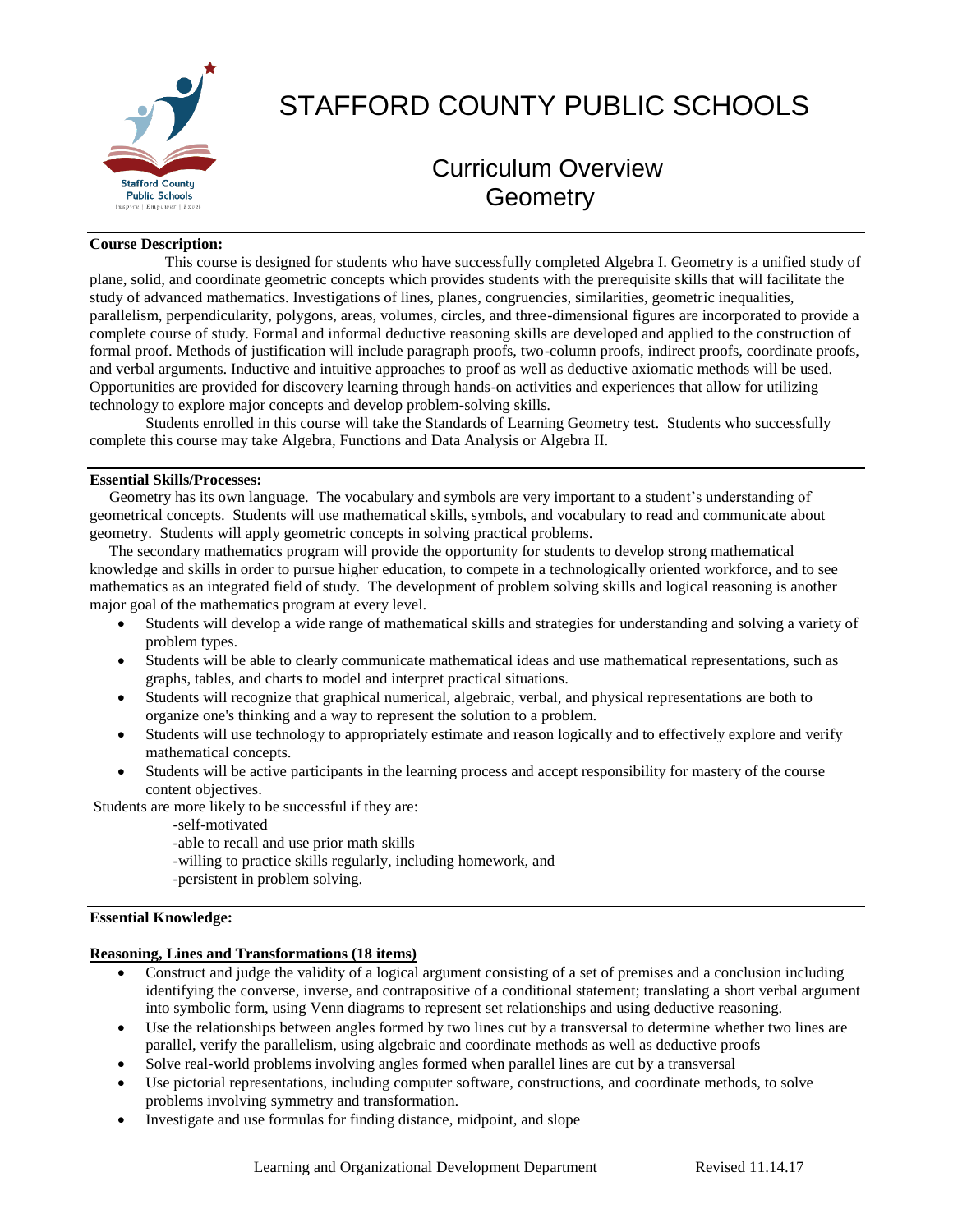

# STAFFORD COUNTY PUBLIC SCHOOLS

# Curriculum Overview **Geometry**

#### **Course Description:**

 This course is designed for students who have successfully completed Algebra I. Geometry is a unified study of plane, solid, and coordinate geometric concepts which provides students with the prerequisite skills that will facilitate the study of advanced mathematics. Investigations of lines, planes, congruencies, similarities, geometric inequalities, parallelism, perpendicularity, polygons, areas, volumes, circles, and three-dimensional figures are incorporated to provide a complete course of study. Formal and informal deductive reasoning skills are developed and applied to the construction of formal proof. Methods of justification will include paragraph proofs, two-column proofs, indirect proofs, coordinate proofs, and verbal arguments. Inductive and intuitive approaches to proof as well as deductive axiomatic methods will be used. Opportunities are provided for discovery learning through hands-on activities and experiences that allow for utilizing technology to explore major concepts and develop problem-solving skills.

 Students enrolled in this course will take the Standards of Learning Geometry test. Students who successfully complete this course may take Algebra, Functions and Data Analysis or Algebra II.

#### **Essential Skills/Processes:**

 Geometry has its own language. The vocabulary and symbols are very important to a student's understanding of geometrical concepts. Students will use mathematical skills, symbols, and vocabulary to read and communicate about geometry. Students will apply geometric concepts in solving practical problems.

 The secondary mathematics program will provide the opportunity for students to develop strong mathematical knowledge and skills in order to pursue higher education, to compete in a technologically oriented workforce, and to see mathematics as an integrated field of study. The development of problem solving skills and logical reasoning is another major goal of the mathematics program at every level.

- Students will develop a wide range of mathematical skills and strategies for understanding and solving a variety of problem types.
- Students will be able to clearly communicate mathematical ideas and use mathematical representations, such as graphs, tables, and charts to model and interpret practical situations.
- Students will recognize that graphical numerical, algebraic, verbal, and physical representations are both to organize one's thinking and a way to represent the solution to a problem.
- Students will use technology to appropriately estimate and reason logically and to effectively explore and verify mathematical concepts.
- Students will be active participants in the learning process and accept responsibility for mastery of the course content objectives.

Students are more likely to be successful if they are:

-self-motivated

-able to recall and use prior math skills

- -willing to practice skills regularly, including homework, and
- -persistent in problem solving.

#### **Essential Knowledge:**

#### **Reasoning, Lines and Transformations (18 items)**

- Construct and judge the validity of a logical argument consisting of a set of premises and a conclusion including identifying the converse, inverse, and contrapositive of a conditional statement; translating a short verbal argument into symbolic form, using Venn diagrams to represent set relationships and using deductive reasoning.
- Use the relationships between angles formed by two lines cut by a transversal to determine whether two lines are parallel, verify the parallelism, using algebraic and coordinate methods as well as deductive proofs
- Solve real-world problems involving angles formed when parallel lines are cut by a transversal
- Use pictorial representations, including computer software, constructions, and coordinate methods, to solve problems involving symmetry and transformation.
- Investigate and use formulas for finding distance, midpoint, and slope